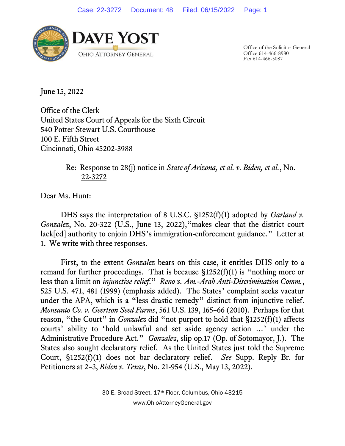

Office of the Solicitor General Office 614-466-8980 Fax 614-466-5087

June 15, 2022

Office of the Clerk United States Court of Appeals for the Sixth Circuit 540 Potter Stewart U.S. Courthouse 100 E. Fifth Street Cincinnati, Ohio 45202-3988

## Re: Response to 28(j) notice in *State of Arizona, et al. v. Biden, et al.*, No. 22-3272

Dear Ms. Hunt:

DHS says the interpretation of 8 U.S.C. §1252(f)(1) adopted by *Garland v. Gonzalez*, No. 20-322 (U.S., June 13, 2022),"makes clear that the district court lack[ed] authority to enjoin DHS's immigration-enforcement guidance." Letter at 1. We write with three responses.

First, to the extent *Gonzalez* bears on this case, it entitles DHS only to a remand for further proceedings. That is because  $$1252(f)(1)$  is "nothing more or less than a limit on *injunctive relief*." *Reno v. Am.-Arab Anti-Discrimination Comm.*, 525 U.S. 471, 481 (1999) (emphasis added). The States' complaint seeks vacatur under the APA, which is a "less drastic remedy" distinct from injunctive relief. *Monsanto Co. v. Geertson Seed Farms*, 561 U.S. 139, 165–66 (2010). Perhaps for that reason, "the Court" in *Gonzalez* did "not purport to hold that §1252(f)(1) affects courts' ability to 'hold unlawful and set aside agency action …' under the Administrative Procedure Act." *Gonzalez*, slip op.17 (Op. of Sotomayor, J.). The States also sought declaratory relief. As the United States just told the Supreme Court, §1252(f)(1) does not bar declaratory relief. *See* Supp. Reply Br. for Petitioners at 2–3, *Biden v. Texas*, No. 21-954 (U.S., May 13, 2022).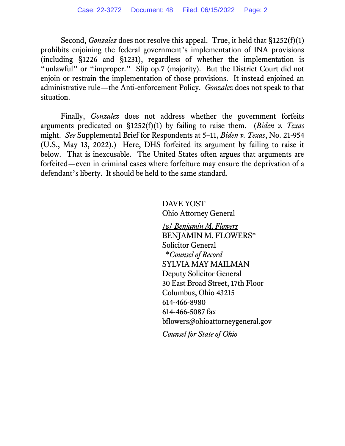Second, *Gonzalez* does not resolve this appeal. True, it held that §1252(f)(1) prohibits enjoining the federal government's implementation of INA provisions (including §1226 and §1231), regardless of whether the implementation is "unlawful" or "improper." Slip op.7 (majority). But the District Court did not enjoin or restrain the implementation of those provisions. It instead enjoined an administrative rule—the Anti-enforcement Policy. *Gonzalez* does not speak to that situation.

Finally, *Gonzalez* does not address whether the government forfeits arguments predicated on §1252(f)(1) by failing to raise them. (*Biden v. Texas*  might. *See* Supplemental Brief for Respondents at 5–11, *Biden v. Texas*, No. 21-954 (U.S., May 13, 2022).) Here, DHS forfeited its argument by failing to raise it below. That is inexcusable. The United States often argues that arguments are forfeited—even in criminal cases where forfeiture may ensure the deprivation of a defendant's liberty. It should be held to the same standard.

> DAVE YOST Ohio Attorney General

/s/ *Benjamin M. Flowers* BENJAMIN M. FLOWERS\* Solicitor General \**Counsel of Record* SYLVIA MAY MAILMAN Deputy Solicitor General 30 East Broad Street, 17th Floor Columbus, Ohio 43215 614-466-8980 614-466-5087 fax bflowers@ohioattorneygeneral.gov *Counsel for State of Ohio*